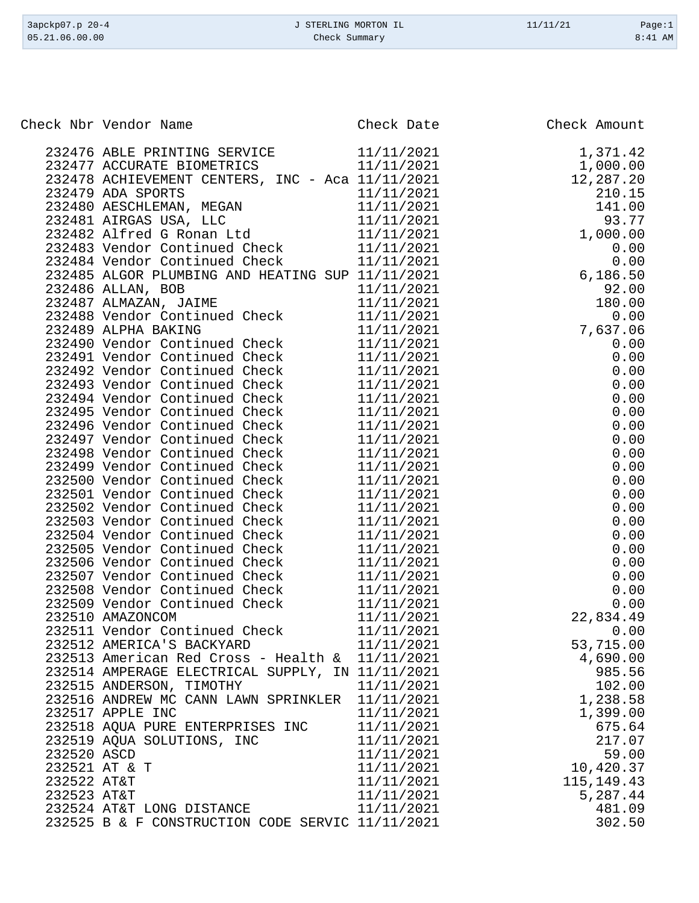|             | Check Nbr Vendor Name                                          | Check Date               | Check Amount |
|-------------|----------------------------------------------------------------|--------------------------|--------------|
|             | 232476 ABLE PRINTING SERVICE                                   | 11/11/2021               | 1,371.42     |
|             | 232477 ACCURATE BIOMETRICS                                     | 11/11/2021               | 1,000.00     |
|             | 232478 ACHIEVEMENT CENTERS, INC - Aca 11/11/2021               |                          | 12,287.20    |
|             | 232479 ADA SPORTS                                              | 11/11/2021               | 210.15       |
|             | 232480 AESCHLEMAN, MEGAN                                       | 11/11/2021               | 141.00       |
|             | 232481 AIRGAS USA, LLC                                         | 11/11/2021               | 93.77        |
|             | 232482 Alfred G Ronan Ltd 11/11/2021                           |                          | 1,000.00     |
|             | 232483 Vendor Continued Check                                  | 11/11/2021               | 0.00         |
|             | 232484 Vendor Continued Check                                  | 11/11/2021               | 0.00         |
|             | 232485 ALGOR PLUMBING AND HEATING SUP 11/11/2021               |                          | 6,186.50     |
|             | 232486 ALLAN, BOB                                              | 11/11/2021               | 92.00        |
|             | 232487 ALMAZAN, JAIME                                          | 11/11/2021               | 180.00       |
|             | 232488 Vendor Continued Check                                  | 11/11/2021               | 0.00         |
|             | 232489 ALPHA BAKING                                            | 11/11/2021               | 7,637.06     |
|             | 232490 Vendor Continued Check                                  | 11/11/2021               | 0.00         |
|             | 232491 Vendor Continued Check                                  | 11/11/2021               | 0.00         |
|             | 232492 Vendor Continued Check                                  | 11/11/2021               | 0.00         |
|             | 232493 Vendor Continued Check                                  | 11/11/2021               | 0.00         |
|             | 232494 Vendor Continued Check                                  | 11/11/2021               | 0.00         |
|             | 232495 Vendor Continued Check                                  | 11/11/2021               | 0.00         |
|             | 232496 Vendor Continued Check<br>232497 Vendor Continued Check | 11/11/2021               | 0.00<br>0.00 |
|             | 232498 Vendor Continued Check                                  | 11/11/2021<br>11/11/2021 | 0.00         |
|             | 232499 Vendor Continued Check                                  | 11/11/2021               | 0.00         |
|             | 232500 Vendor Continued Check                                  | 11/11/2021               | 0.00         |
|             | 232501 Vendor Continued Check                                  | 11/11/2021               | 0.00         |
|             | 232502 Vendor Continued Check                                  | 11/11/2021               | 0.00         |
|             | 232503 Vendor Continued Check                                  | 11/11/2021               | 0.00         |
|             | 232504 Vendor Continued Check                                  | 11/11/2021               | 0.00         |
|             | 232505 Vendor Continued Check                                  | 11/11/2021               | 0.00         |
|             | 232506 Vendor Continued Check                                  | 11/11/2021               | 0.00         |
|             | 232507 Vendor Continued Check                                  | 11/11/2021               | 0.00         |
|             | 232508 Vendor Continued Check                                  | 11/11/2021               | 0.00         |
|             | 232509 Vendor Continued Check                                  | 11/11/2021               | 0.00         |
|             | 232510 AMAZONCOM                                               | 11/11/2021               | 22,834.49    |
|             | 232511 Vendor Continued Check                                  | 11/11/2021               | 0.00         |
|             | 232512 AMERICA'S BACKYARD                                      | 11/11/2021               | 53,715.00    |
|             | 232513 American Red Cross - Health $\&$ 11/11/2021             |                          | 4,690.00     |
|             | 232514 AMPERAGE ELECTRICAL SUPPLY, IN 11/11/2021               |                          | 985.56       |
|             | 232515 ANDERSON, TIMOTHY                                       | 11/11/2021               | 102.00       |
|             | 232516 ANDREW MC CANN LAWN SPRINKLER 11/11/2021                |                          | 1,238.58     |
|             | 232517 APPLE INC                                               | 11/11/2021               | 1,399.00     |
|             | 232518 AQUA PURE ENTERPRISES INC                               | 11/11/2021               | 675.64       |
|             | 232519 AQUA SOLUTIONS, INC                                     | 11/11/2021               | 217.07       |
| 232520 ASCD |                                                                | 11/11/2021               | 59.00        |
|             | 232521 AT & T                                                  | 11/11/2021               | 10,420.37    |
| 232522 AT&T |                                                                | 11/11/2021               | 115, 149. 43 |
| 232523 AT&T |                                                                | 11/11/2021               | 5,287.44     |
|             | 232524 AT&T LONG DISTANCE                                      | 11/11/2021               | 481.09       |
|             | 232525 B & F CONSTRUCTION CODE SERVIC 11/11/2021               |                          | 302.50       |

3apckp07.p 20-4 <br>
3apckp07.p 20-4 <br>
3apckp07.p 20-4 <br>
3apckp07.p 20-4 <br>
3apckp07.p 20-4 <br>
2age:1 <br>
2age:1 <br>
2age:1 <br>
2age:1 <br>
2age:1 <br>
2age:1 <br>
2age:1 <br>
2age:1 <br>
2age:1 <br>
2age:1 <br>
2age:1 <br>
2age:1 <br>
2age:1 <br>
2age:1 <br>
2age:1 Check Summary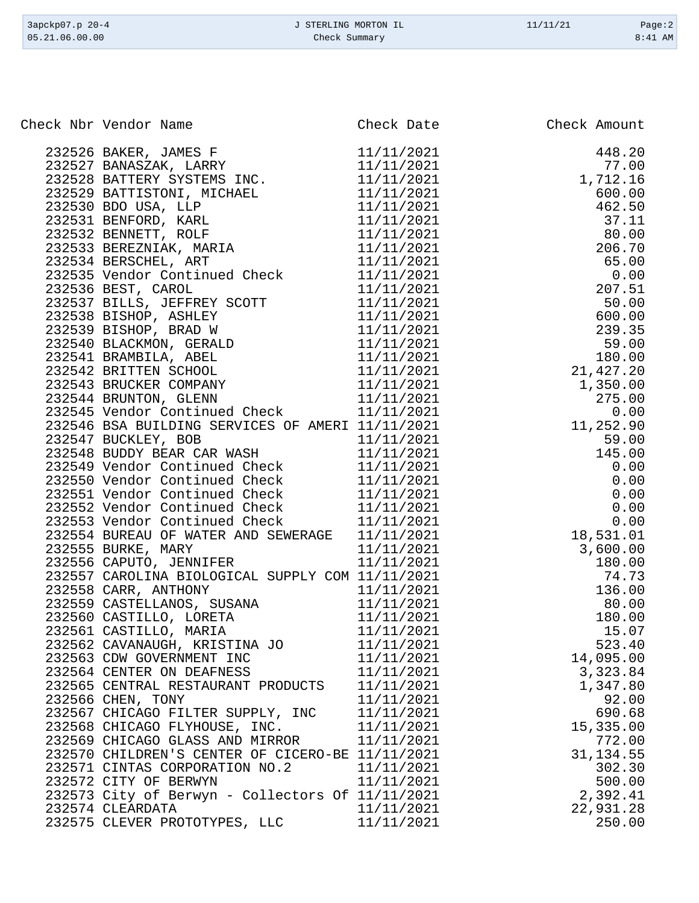| 3apckp07.p 20-4 | J STERLING MORTON IL | 11/11/21 | Page:2    |
|-----------------|----------------------|----------|-----------|
| 05.21.06.00.00  | Check Summary        |          | $8:41$ AM |

| Check Nbr Vendor Name                            |            | Check Date Check Amount |
|--------------------------------------------------|------------|-------------------------|
|                                                  |            |                         |
|                                                  |            |                         |
|                                                  |            |                         |
|                                                  |            |                         |
|                                                  |            |                         |
|                                                  |            |                         |
|                                                  |            |                         |
|                                                  |            |                         |
|                                                  |            |                         |
|                                                  |            |                         |
|                                                  |            |                         |
|                                                  |            |                         |
|                                                  |            |                         |
|                                                  |            |                         |
|                                                  |            |                         |
|                                                  |            |                         |
|                                                  |            |                         |
|                                                  |            |                         |
|                                                  |            |                         |
|                                                  |            |                         |
|                                                  |            |                         |
|                                                  |            |                         |
|                                                  |            |                         |
|                                                  |            |                         |
|                                                  |            |                         |
|                                                  |            |                         |
|                                                  |            |                         |
|                                                  |            |                         |
|                                                  |            |                         |
|                                                  |            |                         |
|                                                  |            |                         |
|                                                  |            |                         |
|                                                  |            |                         |
|                                                  |            |                         |
|                                                  |            |                         |
|                                                  |            |                         |
| 232561 CASTILLO, MARIA                           | 11/11/2021 | 15.07                   |
| 232562 CAVANAUGH, KRISTINA JO                    | 11/11/2021 | 523.40                  |
| 232563 CDW GOVERNMENT INC                        | 11/11/2021 | 14,095.00               |
| 232564 CENTER ON DEAFNESS                        | 11/11/2021 | 3,323.84                |
| 232565 CENTRAL RESTAURANT PRODUCTS               | 11/11/2021 | 1,347.80                |
| 232566 CHEN, TONY                                | 11/11/2021 | 92.00                   |
| 232567 CHICAGO FILTER SUPPLY, INC                | 11/11/2021 | 690.68                  |
| 232568 CHICAGO FLYHOUSE, INC.                    | 11/11/2021 | 15,335.00               |
| 232569 CHICAGO GLASS AND MIRROR                  | 11/11/2021 | 772.00                  |
| 232570 CHILDREN'S CENTER OF CICERO-BE 11/11/2021 |            | 31, 134.55              |
| 232571 CINTAS CORPORATION NO.2                   | 11/11/2021 | 302.30                  |
| 232572 CITY OF BERWYN                            | 11/11/2021 | 500.00                  |
| 232573 City of Berwyn - Collectors Of 11/11/2021 |            | 2,392.41                |
| 232574 CLEARDATA                                 | 11/11/2021 | 22,931.28               |
| 232575 CLEVER PROTOTYPES, LLC                    | 11/11/2021 | 250.00                  |
|                                                  |            |                         |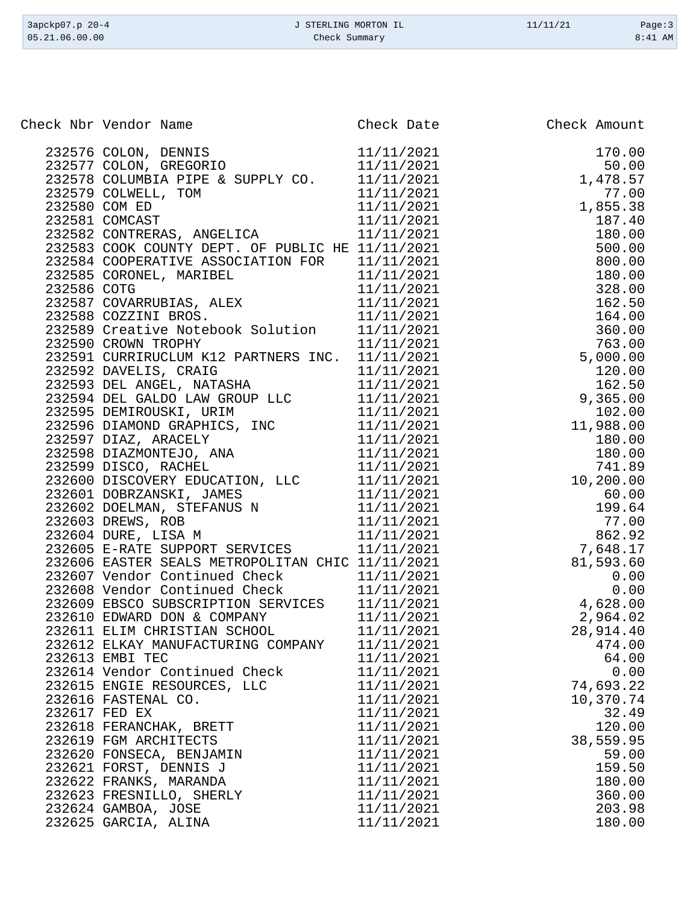| 3apckp07.p 20-4 | J STERLING MORTON IL | 11/11/21 | Page:3    |
|-----------------|----------------------|----------|-----------|
| 05.21.06.00.00  | Check Summary        |          | $8:41$ AM |
|                 |                      |          |           |

| Check Nbr Vendor Name<br>eck Nbr Vendor Name<br>232577 COLON, DENSINS (2000)<br>232577 COLON, DENSINS (1911/11/2021 170.00<br>232577 COLON, DENSINS (1911/11/2021 170.00<br>232578 COLUMBIA PIPE & SUPPLY CO. 11/11/2021 1475.57<br>2325810 COMPABIL TON (11/11/ | Check Date | Check Amount |
|------------------------------------------------------------------------------------------------------------------------------------------------------------------------------------------------------------------------------------------------------------------|------------|--------------|
|                                                                                                                                                                                                                                                                  |            |              |
|                                                                                                                                                                                                                                                                  |            |              |
|                                                                                                                                                                                                                                                                  |            |              |
|                                                                                                                                                                                                                                                                  |            |              |
|                                                                                                                                                                                                                                                                  |            |              |
|                                                                                                                                                                                                                                                                  |            |              |
|                                                                                                                                                                                                                                                                  |            |              |
|                                                                                                                                                                                                                                                                  |            |              |
|                                                                                                                                                                                                                                                                  |            |              |
|                                                                                                                                                                                                                                                                  |            |              |
|                                                                                                                                                                                                                                                                  |            |              |
|                                                                                                                                                                                                                                                                  |            |              |
|                                                                                                                                                                                                                                                                  |            |              |
|                                                                                                                                                                                                                                                                  |            |              |
|                                                                                                                                                                                                                                                                  |            |              |
|                                                                                                                                                                                                                                                                  |            |              |
|                                                                                                                                                                                                                                                                  |            |              |
|                                                                                                                                                                                                                                                                  |            |              |
|                                                                                                                                                                                                                                                                  |            |              |
|                                                                                                                                                                                                                                                                  |            |              |
|                                                                                                                                                                                                                                                                  |            |              |
|                                                                                                                                                                                                                                                                  |            |              |
|                                                                                                                                                                                                                                                                  |            |              |
|                                                                                                                                                                                                                                                                  |            |              |
|                                                                                                                                                                                                                                                                  |            |              |
|                                                                                                                                                                                                                                                                  |            |              |
|                                                                                                                                                                                                                                                                  |            |              |
|                                                                                                                                                                                                                                                                  |            |              |
|                                                                                                                                                                                                                                                                  |            |              |
|                                                                                                                                                                                                                                                                  |            |              |
|                                                                                                                                                                                                                                                                  |            |              |
|                                                                                                                                                                                                                                                                  |            |              |
|                                                                                                                                                                                                                                                                  |            |              |
|                                                                                                                                                                                                                                                                  |            |              |
|                                                                                                                                                                                                                                                                  |            |              |
|                                                                                                                                                                                                                                                                  |            | 28,914.40    |
| 232612 ELKAY MANUFACTURING COMPANY                                                                                                                                                                                                                               | 11/11/2021 | 474.00       |
| 232613 EMBI TEC                                                                                                                                                                                                                                                  | 11/11/2021 | 64.00        |
| 232614 Vendor Continued Check                                                                                                                                                                                                                                    | 11/11/2021 | 0.00         |
| 232615 ENGIE RESOURCES, LLC                                                                                                                                                                                                                                      | 11/11/2021 | 74,693.22    |
| 232616 FASTENAL CO.                                                                                                                                                                                                                                              | 11/11/2021 | 10,370.74    |
| 232617 FED EX                                                                                                                                                                                                                                                    | 11/11/2021 | 32.49        |
| 232618 FERANCHAK, BRETT                                                                                                                                                                                                                                          | 11/11/2021 | 120.00       |
| 232619 FGM ARCHITECTS                                                                                                                                                                                                                                            | 11/11/2021 | 38,559.95    |
| 232620 FONSECA, BENJAMIN                                                                                                                                                                                                                                         | 11/11/2021 | 59.00        |
| 232621 FORST, DENNIS J                                                                                                                                                                                                                                           | 11/11/2021 | 159.50       |
| 232622 FRANKS, MARANDA                                                                                                                                                                                                                                           | 11/11/2021 | 180.00       |
| 232623 FRESNILLO, SHERLY                                                                                                                                                                                                                                         | 11/11/2021 | 360.00       |
| 232624 GAMBOA, JOSE                                                                                                                                                                                                                                              | 11/11/2021 | 203.98       |
| 232625 GARCIA, ALINA                                                                                                                                                                                                                                             | 11/11/2021 | 180.00       |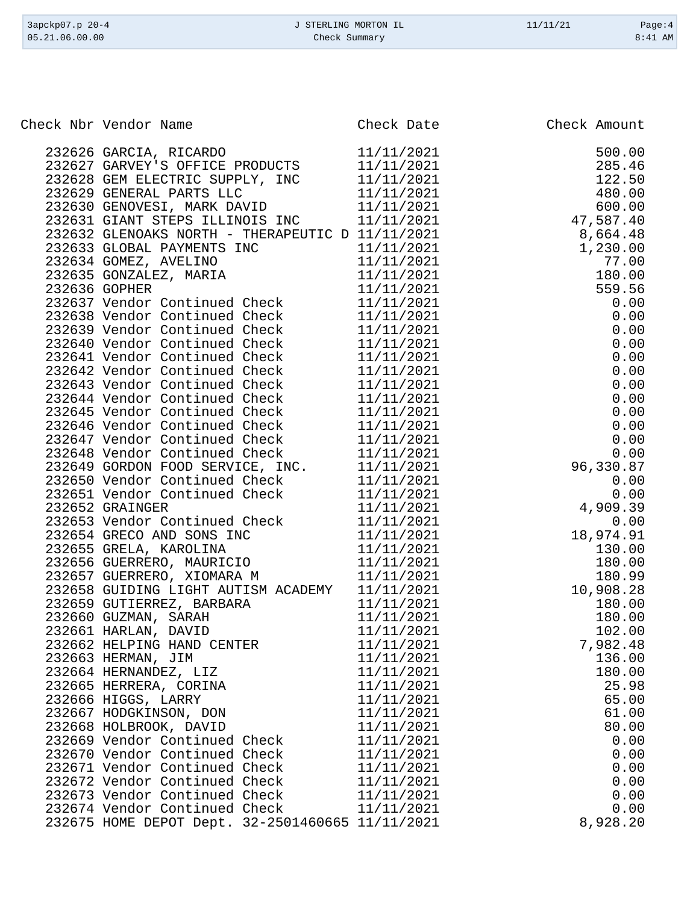| 3apckp07.p 20-4 | J STERLING MORTON IL | 11/11/21 | Page:4  |
|-----------------|----------------------|----------|---------|
| 05.21.06.00.00  | Check Summary        |          | 8:41 AM |
|                 |                      |          |         |

| Check Nbr Vendor Name<br>eck Nbr Vendor Name<br>232627 GANCIA, RICARDO (1912)<br>232627 GANVIRY S OFFICE PRODUCTS (1/11/2021 500.00)<br>232627 GANVIRY S OFFICE PRODUCTS (1/11/2021 122.5.6<br>2326230 GENERAL PARTS ELECT INC (1/11/2021 122.5.6<br>2326230 GEN | Check Date | Check Amount |
|------------------------------------------------------------------------------------------------------------------------------------------------------------------------------------------------------------------------------------------------------------------|------------|--------------|
| 232626 GARCIA, RICARDO 11/11/2021<br>232627 GARVEY'S OFFICE PRODUCTS 11/11/2021                                                                                                                                                                                  |            |              |
|                                                                                                                                                                                                                                                                  |            |              |
|                                                                                                                                                                                                                                                                  |            |              |
|                                                                                                                                                                                                                                                                  |            |              |
|                                                                                                                                                                                                                                                                  |            |              |
|                                                                                                                                                                                                                                                                  |            |              |
|                                                                                                                                                                                                                                                                  |            |              |
|                                                                                                                                                                                                                                                                  |            |              |
|                                                                                                                                                                                                                                                                  |            |              |
|                                                                                                                                                                                                                                                                  |            |              |
|                                                                                                                                                                                                                                                                  |            |              |
|                                                                                                                                                                                                                                                                  |            |              |
|                                                                                                                                                                                                                                                                  |            |              |
|                                                                                                                                                                                                                                                                  |            |              |
|                                                                                                                                                                                                                                                                  |            |              |
|                                                                                                                                                                                                                                                                  |            |              |
|                                                                                                                                                                                                                                                                  |            |              |
|                                                                                                                                                                                                                                                                  |            |              |
|                                                                                                                                                                                                                                                                  |            |              |
|                                                                                                                                                                                                                                                                  |            |              |
|                                                                                                                                                                                                                                                                  |            |              |
|                                                                                                                                                                                                                                                                  |            |              |
|                                                                                                                                                                                                                                                                  |            |              |
|                                                                                                                                                                                                                                                                  |            |              |
|                                                                                                                                                                                                                                                                  |            |              |
|                                                                                                                                                                                                                                                                  |            |              |
|                                                                                                                                                                                                                                                                  |            |              |
|                                                                                                                                                                                                                                                                  |            |              |
|                                                                                                                                                                                                                                                                  |            |              |
|                                                                                                                                                                                                                                                                  |            |              |
|                                                                                                                                                                                                                                                                  |            |              |
|                                                                                                                                                                                                                                                                  |            |              |
|                                                                                                                                                                                                                                                                  |            |              |
|                                                                                                                                                                                                                                                                  |            |              |
|                                                                                                                                                                                                                                                                  |            |              |
| 232661 HARLAN, DAVID                                                                                                                                                                                                                                             | 11/11/2021 | 102.00       |
| 232662 HELPING HAND CENTER                                                                                                                                                                                                                                       | 11/11/2021 | 7,982.48     |
| 232663 HERMAN, JIM                                                                                                                                                                                                                                               | 11/11/2021 | 136.00       |
| 232664 HERNANDEZ, LIZ                                                                                                                                                                                                                                            | 11/11/2021 | 180.00       |
| 232665 HERRERA, CORINA                                                                                                                                                                                                                                           | 11/11/2021 | 25.98        |
| 232666 HIGGS, LARRY                                                                                                                                                                                                                                              | 11/11/2021 | 65.00        |
| 232667 HODGKINSON, DON                                                                                                                                                                                                                                           | 11/11/2021 | 61.00        |
| 232668 HOLBROOK, DAVID                                                                                                                                                                                                                                           | 11/11/2021 | 80.00        |
| 232669 Vendor Continued Check                                                                                                                                                                                                                                    | 11/11/2021 | 0.00         |
| 232670 Vendor Continued Check                                                                                                                                                                                                                                    | 11/11/2021 | 0.00         |
| 232671 Vendor Continued Check                                                                                                                                                                                                                                    | 11/11/2021 | 0.00         |
| 232672 Vendor Continued Check                                                                                                                                                                                                                                    | 11/11/2021 | 0.00         |
| 232673 Vendor Continued Check                                                                                                                                                                                                                                    | 11/11/2021 | 0.00         |
| 232674 Vendor Continued Check                                                                                                                                                                                                                                    | 11/11/2021 | 0.00         |
| 232675 HOME DEPOT Dept. 32-2501460665 11/11/2021                                                                                                                                                                                                                 |            | 8,928.20     |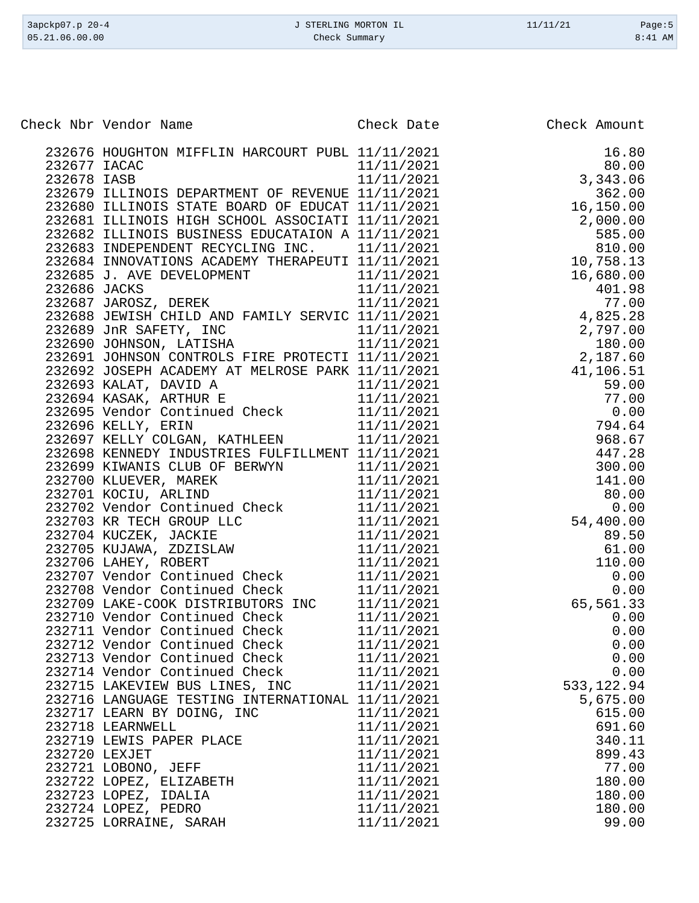| Check Nbr Vendor Name |                                                                                                                               | Check Date | Check Amount      |
|-----------------------|-------------------------------------------------------------------------------------------------------------------------------|------------|-------------------|
|                       | 232676 HOUGHTON MIFFLIN HARCOURT PUBL 11/11/2021                                                                              |            | 16.80             |
| 232677 IACAC          |                                                                                                                               | 11/11/2021 | 80.00             |
| 232678 IASB           |                                                                                                                               | 11/11/2021 | 3,343.06          |
|                       | 232679 ILLINOIS DEPARTMENT OF REVENUE 11/11/2021                                                                              |            | 362.00            |
|                       | 232680 ILLINOIS STATE BOARD OF EDUCAT 11/11/2021                                                                              |            | 16,150.00         |
|                       | 232681 ILLINOIS HIGH SCHOOL ASSOCIATI 11/11/2021                                                                              |            | 2,000.00          |
|                       | 232682 ILLINOIS BUSINESS EDUCATAION A 11/11/2021                                                                              |            | 585.00            |
|                       | 232683 INDEPENDENT RECYCLING INC. 11/11/2021                                                                                  |            | 810.00            |
|                       | 232684 INNOVATIONS ACADEMY THERAPEUTI 11/11/2021                                                                              |            | 10,758.13         |
|                       | 232685 J. AVE DEVELOPMENT 11/11/2021<br>232686 JACKS 11/11/2021<br>232687 JAROSZ, DEREK 11/11/2021                            |            | 16,680.00         |
|                       |                                                                                                                               |            | 401.98            |
|                       |                                                                                                                               |            |                   |
|                       | 232688 JEWISH CHILD AND FAMILY SERVIC 11/11/2021                                                                              |            | 77.00<br>4,825.28 |
|                       |                                                                                                                               |            | 2,797.00          |
|                       | 232689 JnR SAFETY, INC 11/11/2021<br>232690 JOHNSON, LATISHA 11/11/2021                                                       |            | 180.00            |
|                       | 232691 JOHNSON CONTROLS FIRE PROTECTI 11/11/2021                                                                              |            | 2,187.60          |
|                       | 232692 JOSEPH ACADEMY AT MELROSE PARK 11/11/2021                                                                              |            | 41,106.51         |
|                       |                                                                                                                               |            | 59.00             |
|                       | $\begin{array}{cccc} 232693 & \text{KALAT, DAVID A} & 11/11/2021 \\ 232694 & \text{KASAK, ARTHUR E} & 11/11/2021 \end{array}$ |            | 77.00             |
|                       | 232695 Vendor Continued Check 11/11/2021                                                                                      |            | 0.00              |
|                       | 232696 KELLY, ERIN                                                                                                            | 11/11/2021 | 794.64            |
|                       | 232697 KELLY COLGAN, KATHLEEN                                                                                                 | 11/11/2021 | 968.67            |
|                       | 232698 KENNEDY INDUSTRIES FULFILLMENT 11/11/2021                                                                              |            | 447.28            |
|                       | 232699 KIWANIS CLUB OF BERWYN                                                                                                 | 11/11/2021 | 300.00            |
|                       | 232700 KLUEVER, MAREK<br>232701 KOCIU, ARLIND                                                                                 | 11/11/2021 | 141.00            |
|                       |                                                                                                                               | 11/11/2021 | 80.00             |
|                       | 232702 Vendor Continued Check<br>232703 KR TECH GROUP LLC                                                                     | 11/11/2021 | 0.00              |
|                       |                                                                                                                               | 11/11/2021 | 54,400.00         |
|                       | 232704 KUCZEK, JACKIE                                                                                                         | 11/11/2021 | 89.50             |
|                       | 232705 KUJAWA, ZDZISLAW                                                                                                       | 11/11/2021 | 61.00             |
|                       | 232706 LAHEY, ROBERT                                                                                                          | 11/11/2021 | 110.00            |
|                       | 232707 Vendor Continued Check                                                                                                 | 11/11/2021 | 0.00              |
|                       | 232708 Vendor Continued Check                                                                                                 | 11/11/2021 | 0.00              |
|                       | 232709 LAKE-COOK DISTRIBUTORS INC 11/11/2021                                                                                  |            | 65,561.33         |
|                       | 232710 Vendor Continued Check                                                                                                 | 11/11/2021 | 0.00              |
|                       | 232711 Vendor Continued Check 11/11/2021                                                                                      |            | 0.00              |
|                       | 232712 Vendor Continued Check 11/11/2021                                                                                      |            | 0.00              |
|                       | 232713 Vendor Continued Check 11/11/2021                                                                                      |            | 0.00              |
|                       | 232714 Vendor Continued Check 11/11/2021                                                                                      |            | 0.00              |
|                       | 232715 LAKEVIEW BUS LINES, INC 11/11/2021                                                                                     |            | 533, 122.94       |
|                       | 232716 LANGUAGE TESTING INTERNATIONAL 11/11/2021                                                                              |            | 5,675.00          |
|                       | 232717 LEARN BY DOING, INC                                                                                                    | 11/11/2021 | 615.00            |
|                       | 232718 LEARNWELL                                                                                                              | 11/11/2021 | 691.60            |
|                       | 232719 LEWIS PAPER PLACE                                                                                                      | 11/11/2021 | 340.11            |
| 232720 LEXJET         |                                                                                                                               | 11/11/2021 | 899.43            |
|                       | 232721 LOBONO, JEFF                                                                                                           | 11/11/2021 | 77.00             |
|                       | 232722 LOPEZ, ELIZABETH                                                                                                       | 11/11/2021 | 180.00            |
|                       | 232723 LOPEZ, IDALIA                                                                                                          | 11/11/2021 | 180.00            |
|                       | 232724 LOPEZ, PEDRO                                                                                                           | 11/11/2021 | 180.00            |
|                       | 232725 LORRAINE, SARAH                                                                                                        | 11/11/2021 | 99.00             |

3apckp07.p 20-4 <br>
35339007.p 20-4 <br>
35311 O5.21.06.00.00 <br>
3:41 AM Check Summary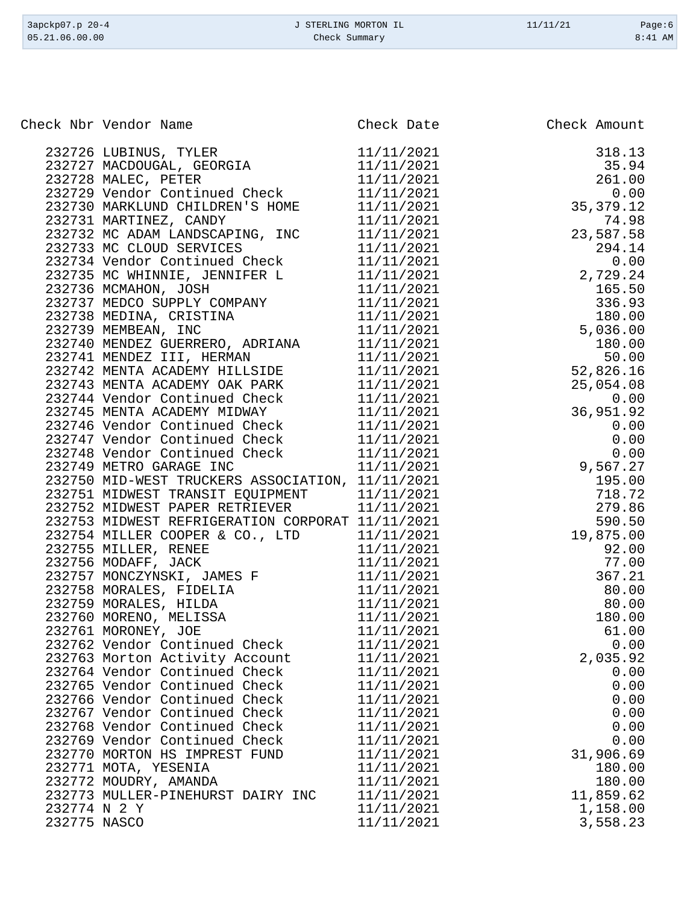| 3apckp07.p 20-4<br>05.21.06.00.00 |                                                                                      | J STERLING MORTON IL<br>Check Summary | 11/11/21 | Page: $6$<br>$8:41$ AM |
|-----------------------------------|--------------------------------------------------------------------------------------|---------------------------------------|----------|------------------------|
|                                   |                                                                                      |                                       |          |                        |
|                                   | Check Nbr Vendor Name                                                                | Check Date                            |          | Check Amount           |
|                                   |                                                                                      |                                       |          |                        |
|                                   | 232726 LUBINUS, TYLER                                                                | 11/11/2021                            |          | 318.13                 |
|                                   | 232727 MACDOUGAL, GEORGIA<br>232728 MALEC, PETER                                     | 11/11/2021<br>11/11/2021              |          | 35.94<br>261.00        |
|                                   | 232729 Vendor Continued Check                                                        | 11/11/2021                            |          | 0.00                   |
|                                   | 232730 MARKLUND CHILDREN'S HOME                                                      | 11/11/2021                            |          | 35, 379. 12            |
|                                   | 232731 MARTINEZ, CANDY                                                               | 11/11/2021                            |          | 74.98                  |
|                                   | 232732 MC ADAM LANDSCAPING, INC                                                      | 11/11/2021                            |          | 23,587.58              |
|                                   | 232733 MC CLOUD SERVICES                                                             | 11/11/2021                            |          | 294.14                 |
|                                   | 232734 Vendor Continued Check                                                        | 11/11/2021                            |          | 0.00                   |
|                                   | 232735 MC WHINNIE, JENNIFER L                                                        | 11/11/2021                            |          | 2,729.24               |
|                                   | 232736 MCMAHON, JOSH                                                                 | 11/11/2021                            |          | 165.50                 |
|                                   | 232737 MEDCO SUPPLY COMPANY                                                          | 11/11/2021                            |          | 336.93                 |
|                                   | 232738 MEDINA, CRISTINA                                                              | 11/11/2021                            |          | 180.00                 |
|                                   | 232739 MEMBEAN, INC                                                                  | 11/11/2021                            |          | 5,036.00               |
|                                   | 232740 MENDEZ GUERRERO, ADRIANA                                                      | 11/11/2021                            |          | 180.00                 |
|                                   | 232741 MENDEZ III, HERMAN                                                            | 11/11/2021                            |          | 50.00                  |
|                                   | 232742 MENTA ACADEMY HILLSIDE                                                        | 11/11/2021                            |          | 52,826.16              |
|                                   | 232743 MENTA ACADEMY OAK PARK                                                        | 11/11/2021                            |          | 25,054.08              |
|                                   | 232744 Vendor Continued Check                                                        | 11/11/2021                            |          | 0.00                   |
|                                   | 232745 MENTA ACADEMY MIDWAY                                                          | 11/11/2021                            |          | 36,951.92              |
|                                   | 232746 Vendor Continued Check                                                        | 11/11/2021                            |          | 0.00                   |
|                                   | 232747 Vendor Continued Check                                                        | 11/11/2021                            |          | 0.00                   |
|                                   | 232748 Vendor Continued Check                                                        | 11/11/2021                            |          | 0.00                   |
|                                   | 232749 METRO GARAGE INC                                                              | 11/11/2021                            |          | 9,567.27               |
|                                   | 232750 MID-WEST TRUCKERS ASSOCIATION, 11/11/2021<br>232751 MIDWEST TRANSIT EQUIPMENT | 11/11/2021                            |          | 195.00<br>718.72       |
|                                   | 232752 MIDWEST PAPER RETRIEVER                                                       | 11/11/2021                            |          | 279.86                 |
|                                   | 232753 MIDWEST REFRIGERATION CORPORAT 11/11/2021                                     |                                       |          | 590.50                 |
|                                   | 232754 MILLER COOPER & CO., LTD                                                      | 11/11/2021                            |          | 19,875.00              |
|                                   | 232755 MILLER, RENEE                                                                 | 11/11/2021                            |          | 92.00                  |
|                                   | 232756 MODAFF, JACK                                                                  | 11/11/2021                            |          | 77.00                  |
|                                   | 232757 MONCZYNSKI, JAMES F                                                           | 11/11/2021                            |          | 367.21                 |
|                                   | 232758 MORALES, FIDELIA                                                              | 11/11/2021                            |          | 80.00                  |
|                                   | 232759 MORALES, HILDA                                                                | 11/11/2021                            |          | 80.00                  |
|                                   | 232760 MORENO, MELISSA                                                               | 11/11/2021                            |          | 180.00                 |
|                                   | 232761 MORONEY, JOE                                                                  | 11/11/2021                            |          | 61.00                  |
|                                   | 232762 Vendor Continued Check                                                        | 11/11/2021                            |          | 0.00                   |
|                                   | 232763 Morton Activity Account                                                       | 11/11/2021                            |          | 2,035.92               |
|                                   | 232764 Vendor Continued Check                                                        | 11/11/2021                            |          | 0.00                   |
|                                   | 232765 Vendor Continued Check                                                        | 11/11/2021                            |          | 0.00                   |
|                                   | 232766 Vendor Continued Check                                                        | 11/11/2021                            |          | 0.00                   |
|                                   | 232767 Vendor Continued Check                                                        | 11/11/2021                            |          | 0.00                   |
|                                   | 232768 Vendor Continued Check                                                        | 11/11/2021                            |          | 0.00                   |
|                                   | 232769 Vendor Continued Check                                                        | 11/11/2021                            |          | 0.00                   |
|                                   | 232770 MORTON HS IMPREST FUND                                                        | 11/11/2021                            |          | 31,906.69              |
|                                   | 232771 MOTA, YESENIA<br>232772 MOUDRY, AMANDA                                        | 11/11/2021<br>11/11/2021              |          | 180.00<br>180.00       |
|                                   | 232773 MULLER-PINEHURST DAIRY INC                                                    | 11/11/2021                            |          | 11,859.62              |
| 232774 N 2 Y                      |                                                                                      | 11/11/2021                            |          | 1,158.00               |
| 232775 NASCO                      |                                                                                      | 11/11/2021                            |          | 3,558.23               |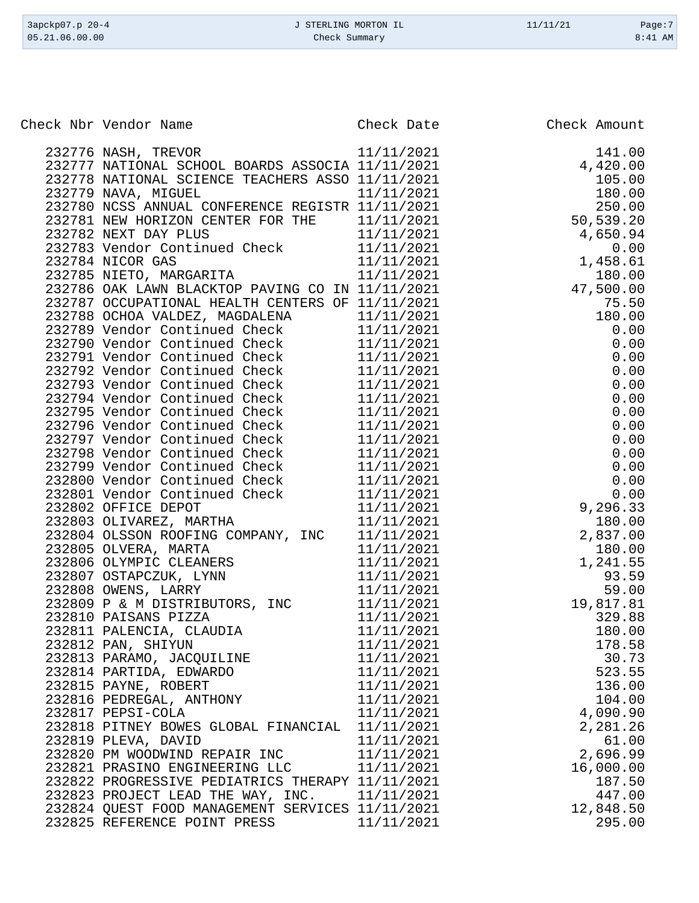| Check Nbr Vendor Name                                           | Check Date               | Check Amount |
|-----------------------------------------------------------------|--------------------------|--------------|
|                                                                 |                          |              |
| 232776 NASH, TREVOR                                             | 11/11/2021               | 141.00       |
| 232777 NATIONAL SCHOOL BOARDS ASSOCIA 11/11/2021                |                          | 4,420.00     |
| 232778 NATIONAL SCIENCE TEACHERS ASSO 11/11/2021                |                          | 105.00       |
| 232779 NAVA, MIGUEL                                             | 11/11/2021               | 180.00       |
| 232780 NCSS ANNUAL CONFERENCE REGISTR 11/11/2021                |                          | 250.00       |
| 232781 NEW HORIZON CENTER FOR THE                               | 11/11/2021               | 50,539.20    |
| 232782 NEXT DAY PLUS                                            | 11/11/2021               | 4,650.94     |
| 232783 Vendor Continued Check                                   | 11/11/2021               | 0.00         |
| 232784 NICOR GAS                                                | 11/11/2021               | 1,458.61     |
| 232785 NIETO, MARGARITA                                         | 11/11/2021               | 180.00       |
| 232786 OAK LAWN BLACKTOP PAVING CO IN 11/11/2021                |                          | 47,500.00    |
| 232787 OCCUPATIONAL HEALTH CENTERS OF 11/11/2021                |                          | 75.50        |
| 232788 OCHOA VALDEZ, MAGDALENA                                  | 11/11/2021               | 180.00       |
| 232789 Vendor Continued Check                                   | 11/11/2021               | 0.00         |
| 232790 Vendor Continued Check                                   | 11/11/2021               | 0.00         |
| 232791 Vendor Continued Check                                   | 11/11/2021               | 0.00         |
| 232792 Vendor Continued Check                                   | 11/11/2021               | 0.00         |
| 232793 Vendor Continued Check                                   | 11/11/2021               | 0.00         |
| 232794 Vendor Continued Check                                   | 11/11/2021               | 0.00         |
| 232795 Vendor Continued Check                                   | 11/11/2021               | 0.00         |
| 232796 Vendor Continued Check                                   | 11/11/2021               | 0.00         |
| 232797 Vendor Continued Check                                   | 11/11/2021               | 0.00         |
| 232798 Vendor Continued Check                                   | 11/11/2021               | 0.00         |
| 232799 Vendor Continued Check                                   | 11/11/2021               | 0.00         |
| 232800 Vendor Continued Check                                   | 11/11/2021               | 0.00         |
| 232801 Vendor Continued Check                                   | 11/11/2021               | 0.00         |
| 232802 OFFICE DEPOT                                             | 11/11/2021               | 9,296.33     |
| 232803 OLIVAREZ, MARTHA                                         | 11/11/2021               | 180.00       |
| 232804 OLSSON ROOFING COMPANY, INC                              | 11/11/2021               | 2,837.00     |
| 232805 OLVERA, MARTA                                            | 11/11/2021               | 180.00       |
| 232806 OLYMPIC CLEANERS                                         | 11/11/2021               | 1,241.55     |
| 232807 OSTAPCZUK, LYNN                                          | 11/11/2021               | 93.59        |
| 232808 OWENS, LARRY                                             | 11/11/2021               | 59.00        |
| 232809 P & M DISTRIBUTORS, INC 11/11/2021                       |                          | 19,817.81    |
| 232810 PAISANS PIZZA                                            | 11/11/2021               | 329.88       |
| 232811 PALENCIA, CLAUDIA                                        | 11/11/2021               | 180.00       |
| 232812 PAN, SHIYUN                                              | 11/11/2021               | 178.58       |
| 232813 PARAMO, JACQUILINE 11/11/2021                            |                          | 30.73        |
| 232814 PARTIDA, EDWARDO                                         | 11/11/2021               | 523.55       |
| 232815 PAYNE, ROBERT                                            | 11/11/2021               | 136.00       |
| 232816 PEDREGAL, ANTHONY                                        | 11/11/2021<br>11/11/2021 | 104.00       |
| 232817 PEPSI-COLA                                               | 11/11/2021               | 4,090.90     |
| 232818 PITNEY BOWES GLOBAL FINANCIAL 11/11/2021                 |                          | 2,281.26     |
| 232819 PLEVA, DAVID<br>232820 PM WOODWIND REPAIR INC 11/11/2021 |                          | 61.00        |
|                                                                 |                          | 2,696.99     |
| 232821 PRASINO ENGINEERING LLC 11/11/2021                       |                          | 16,000.00    |
| 232822 PROGRESSIVE PEDIATRICS THERAPY 11/11/2021                |                          | 187.50       |
| 232823 PROJECT LEAD THE WAY, INC. 11/11/2021                    |                          | 447.00       |
| 232824 QUEST FOOD MANAGEMENT SERVICES 11/11/2021                |                          | 12,848.50    |
| 232825 REFERENCE POINT PRESS                                    | 11/11/2021               | 295.00       |

3apckp07.p 20-4 <br>
3apckp07.p 20-4 <br>
3apckp07.p 20-4 <br>
3apckp07.p 20-4 <br>
3apckp07.p 20-4 <br>
2age:7 Check Summary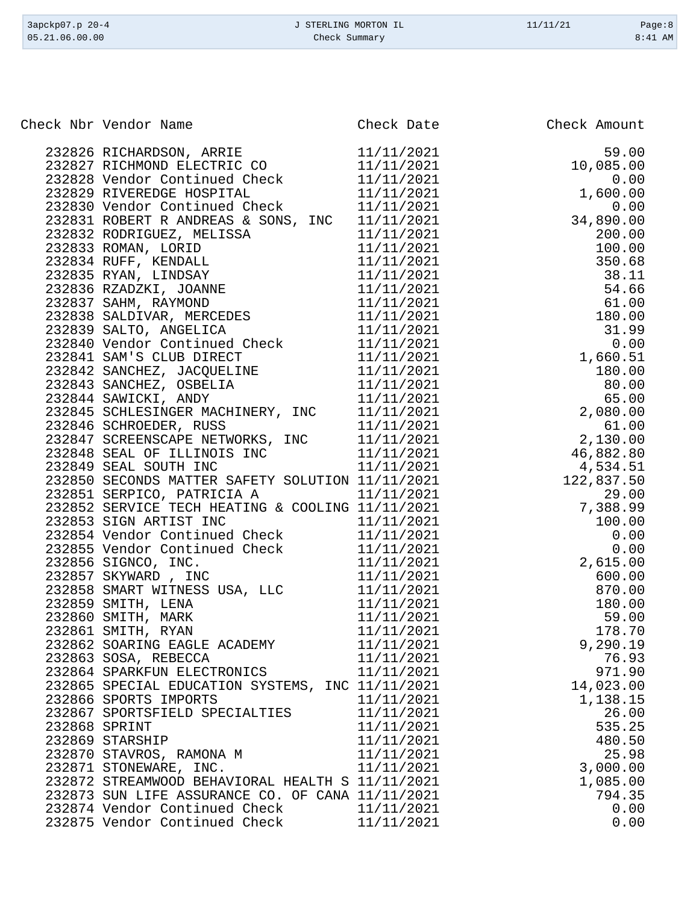| 3apckp07.p 20-4                     | J STERLING MORTON IL | 11/11/21<br>Page:8        |
|-------------------------------------|----------------------|---------------------------|
| 05.21.06.00.00                      | Check Summary        | $8:41$ AM                 |
|                                     |                      |                           |
| Check Nbr Vendor Name               | Check Date           | Check Amount              |
| 232826 RICHARDSON, ARRIE            | 11/11/2021           | 59.00                     |
| 232827 RICHMOND ELECTRIC CO         | 11/11/2021           | 10,085.00                 |
| 232828 Vendor Continued Check       | 11/11/2021           | 0.00                      |
| 232829 RIVEREDGE HOSPITAL           | 11/11/2021           | 1,600.00                  |
| 232830 Vendor Continued Check       | 11/11/2021           | 0.00                      |
| 232831 ROBERT R ANDREAS & SONS, INC | 11/11/2021           | 34,890.00                 |
| 232832 RODRIGUEZ, MELISSA           | 11/11/2021           | 200.00                    |
| 232833 ROMAN, LORID                 | 11/11/2021           | 100.00                    |
| 232834 RUFF, KENDALL                | 11/11/2021           | 350.68                    |
| 232835 RYAN, LINDSAY                | 11/11/2021           | 38.11                     |
| 232836 RZADZKI, JOANNE              | 11/11/2021           | 54.66                     |
| 232837 SAHM, RAYMOND                | 11/11/2021           | 61.00                     |
| 232838 SALDIVAR, MERCEDES           | 11/11/2021           | 180.00                    |
| 232839 SALTO, ANGELICA              | 11/11/2021           | 31.99                     |
| 232840 Vendor Continued Check       | 11/11/2021           | 0.00                      |
| 232841 SAM'S CLUB DIRECT            | 11/11/2021           | 1,660.51                  |
| 232842 SANCHEZ, JACQUELINE          | 11/11/2021           | 180.00                    |
| 232843 SANCHEZ, OSBELIA             | 11/11/2021           | 80.00                     |
| 232844 SAWICKI, ANDY                | 11/11/2021           | 65.00                     |
| 232845 SCHLESINGER MACHINERY, INC   | 11/11/2021           | 2,080.00                  |
| 232846 SCHROEDER, RUSS              | 11/11/2021           | 61.00                     |
| 232847 SCREENSCAPE NETWORKS, INC    | 11/11/2021           | 2,130.00                  |
| 222848 CEAT OF TIITNOTS INC         | 11/11/2001           | $AC$ $RQ$ $Q$ $Q$ $Q$ $Q$ |

|  |                                                                                                                                                                                                                                                                                                                 | 600.00 |
|--|-----------------------------------------------------------------------------------------------------------------------------------------------------------------------------------------------------------------------------------------------------------------------------------------------------------------|--------|
|  |                                                                                                                                                                                                                                                                                                                 |        |
|  |                                                                                                                                                                                                                                                                                                                 |        |
|  |                                                                                                                                                                                                                                                                                                                 |        |
|  |                                                                                                                                                                                                                                                                                                                 |        |
|  |                                                                                                                                                                                                                                                                                                                 |        |
|  |                                                                                                                                                                                                                                                                                                                 |        |
|  |                                                                                                                                                                                                                                                                                                                 |        |
|  |                                                                                                                                                                                                                                                                                                                 |        |
|  |                                                                                                                                                                                                                                                                                                                 |        |
|  |                                                                                                                                                                                                                                                                                                                 |        |
|  |                                                                                                                                                                                                                                                                                                                 |        |
|  |                                                                                                                                                                                                                                                                                                                 |        |
|  |                                                                                                                                                                                                                                                                                                                 |        |
|  |                                                                                                                                                                                                                                                                                                                 |        |
|  |                                                                                                                                                                                                                                                                                                                 |        |
|  | $\begin{tabular}{cccc} 212846&SGUROEDER, RUSS & 11/11/2021 & 6.100 \\ 2128448&SEM & OF ILLINOS INC & 11/11/2021 & 46,882.80 \\ 212848&SEM & OF ILLINOS INC & 11/11/2021 & 46,882.80 \\ 212849&SEM & SOUTH INC & 11/11/2021 & 46,882.80 \\ 212850&SGKCONDS MATTER SARTV & 11/11/2021 & 7,388.99 \\ 212852&SBW &$ | 794.35 |
|  |                                                                                                                                                                                                                                                                                                                 |        |
|  |                                                                                                                                                                                                                                                                                                                 |        |
|  |                                                                                                                                                                                                                                                                                                                 |        |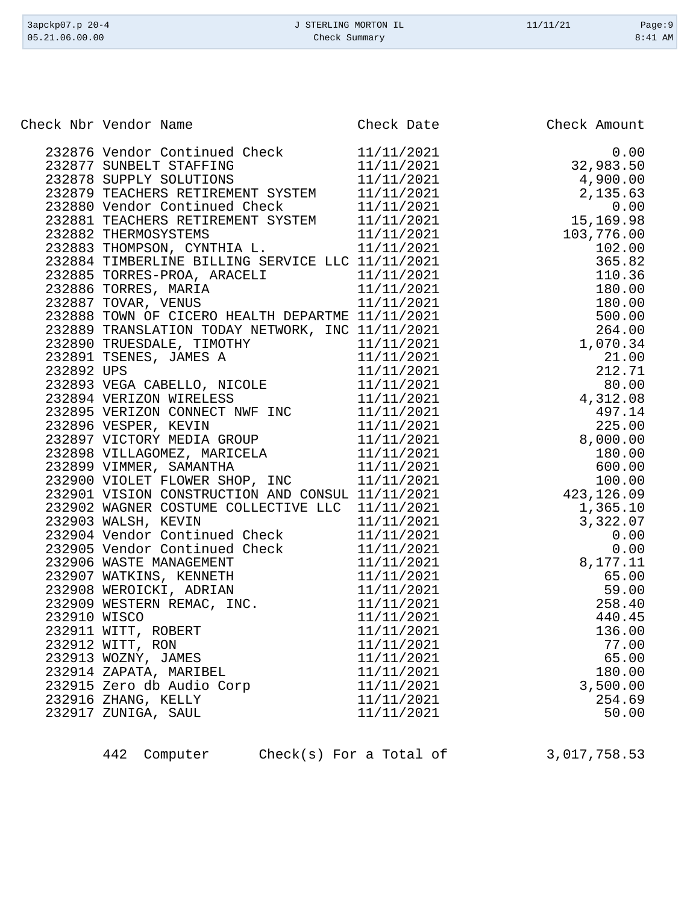| 3apckp07.p 20-4<br>05.21.06.00.00 | J STERLING MORTON IL<br>Check Summary            |            | 11/11/21     | Page:9<br>8:41 AM |
|-----------------------------------|--------------------------------------------------|------------|--------------|-------------------|
|                                   |                                                  |            |              |                   |
|                                   | Check Nbr Vendor Name                            | Check Date | Check Amount |                   |
|                                   | 232876 Vendor Continued Check                    | 11/11/2021 |              | 0.00              |
|                                   | 232877 SUNBELT STAFFING                          | 11/11/2021 | 32,983.50    |                   |
|                                   | 232878 SUPPLY SOLUTIONS                          | 11/11/2021 | 4,900.00     |                   |
|                                   | 232879 TEACHERS RETIREMENT SYSTEM                | 11/11/2021 | 2,135.63     |                   |
|                                   | 232880 Vendor Continued Check                    | 11/11/2021 |              | 0.00              |
|                                   | 232881 TEACHERS RETIREMENT SYSTEM                | 11/11/2021 | 15,169.98    |                   |
|                                   | 232882 THERMOSYSTEMS                             | 11/11/2021 | 103,776.00   |                   |
|                                   | 232883 THOMPSON, CYNTHIA L.                      | 11/11/2021 | 102.00       |                   |
|                                   | 232884 TIMBERLINE BILLING SERVICE LLC 11/11/2021 |            | 365.82       |                   |
|                                   | 232885 TORRES-PROA, ARACELI                      | 11/11/2021 | 110.36       |                   |
|                                   | 232886 TORRES, MARIA                             | 11/11/2021 | 180.00       |                   |
|                                   | 232887 TOVAR, VENUS                              | 11/11/2021 | 180.00       |                   |
|                                   | 232888 TOWN OF CICERO HEALTH DEPARTME 11/11/2021 |            | 500.00       |                   |
|                                   | 232889 TRANSLATION TODAY NETWORK, INC 11/11/2021 |            | 264.00       |                   |
|                                   | 232890 TRUESDALE, TIMOTHY                        | 11/11/2021 | 1,070.34     |                   |
|                                   | 232891 TSENES, JAMES A                           | 11/11/2021 | 21.00        |                   |
| 232892 UPS                        |                                                  | 11/11/2021 | 212.71       |                   |
|                                   | 232893 VEGA CABELLO, NICOLE                      | 11/11/2021 | 80.00        |                   |
|                                   | 232894 VERIZON WIRELESS                          | 11/11/2021 | 4,312.08     |                   |
|                                   | 232895 VERIZON CONNECT NWF INC                   | 11/11/2021 | 497.14       |                   |
|                                   | 232896 VESPER, KEVIN                             | 11/11/2021 | 225.00       |                   |
|                                   | 232897 VICTORY MEDIA GROUP                       | 11/11/2021 | 8,000.00     |                   |
|                                   | 232898 VILLAGOMEZ, MARICELA                      | 11/11/2021 | 180.00       |                   |
|                                   | 232899 VIMMER, SAMANTHA                          | 11/11/2021 | 600.00       |                   |
|                                   | 232900 VIOLET FLOWER SHOP, INC                   | 11/11/2021 | 100.00       |                   |
|                                   | 232901 VISION CONSTRUCTION AND CONSUL 11/11/2021 |            | 423, 126.09  |                   |
|                                   | 232902 WAGNER COSTUME COLLECTIVE LLC 11/11/2021  |            | 1,365.10     |                   |
|                                   | 232903 WALSH, KEVIN                              | 11/11/2021 | 3,322.07     |                   |
|                                   | 232904 Vendor Continued Check                    | 11/11/2021 |              | 0.00              |
|                                   | 232905 Vendor Continued Check                    | 11/11/2021 |              | 0.00              |
|                                   | 232906 WASTE MANAGEMENT                          | 11/11/2021 | 8,177.11     |                   |
|                                   | 232907 WATKINS, KENNETH                          | 11/11/2021 | 65.00        |                   |

232914 ZAPATA, MARIBEL

442 Computer Check(s) For a Total of 3,017,758.53

 WEROICKI, ADRIAN 11/11/2021 59.00 232909 WESTERN REMAC, INC. 11/11/2021 258.40 WISCO 11/11/2021 440.45 232911 WITT, ROBERT 11/11/2021 136.00 232912 WITT, RON 11/11/2021 77.00 232913 WOZNY, JAMES 11/11/2021 65.00<br>232914 ZAPATA, MARIBEL 11/11/2021 180.00

232915 Zero db Audio Corp 11/11/2021 3,500.00 ZHANG, KELLY 11/11/2021 254.69 232917 ZUNIGA, SAUL 11/11/2021 50.00